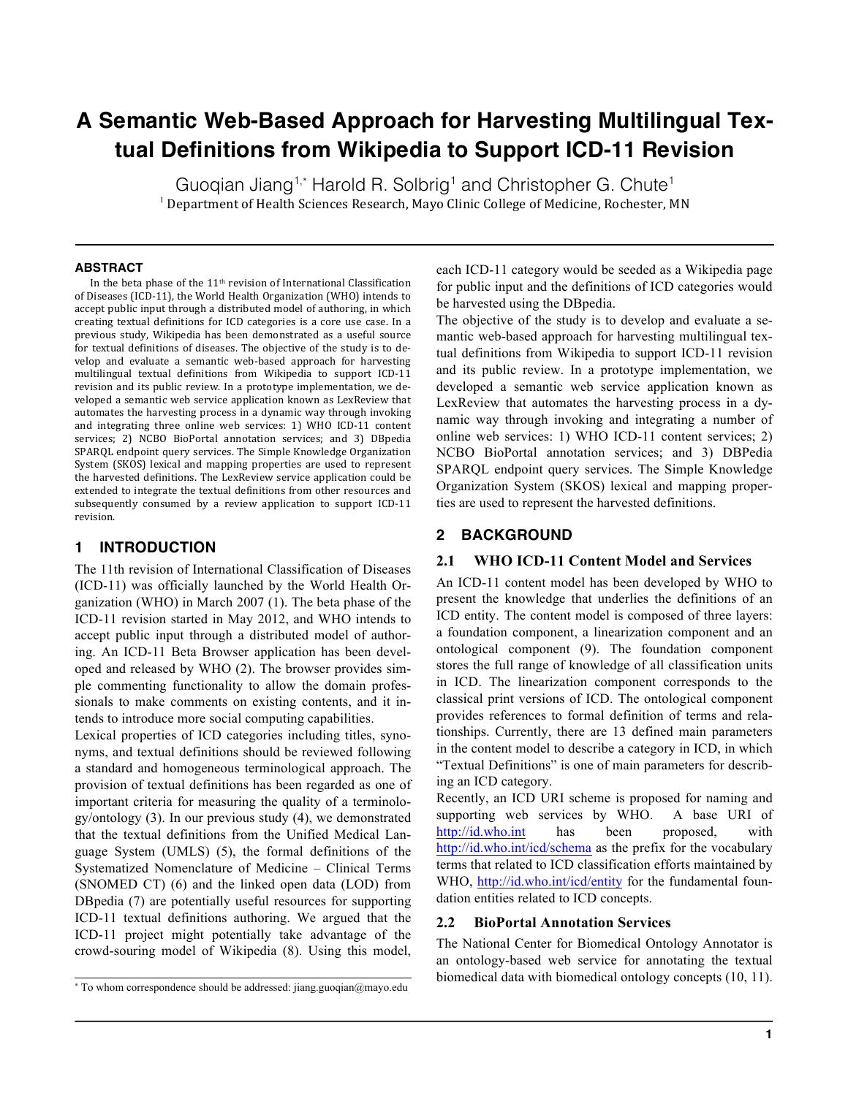# **A Semantic Web-Based Approach for Harvesting Multilingual Textual Definitions from Wikipedia to Support ICD-11 Revision**

Guogian Jiang<sup>1,\*</sup> Harold R. Solbrig<sup>1</sup> and Christopher G. Chute<sup>1</sup>  $<sup>1</sup>$  Department of Health Sciences Research, Mayo Clinic College of Medicine, Rochester, MN</sup>

#### **ABSTRACT**

In the beta phase of the  $11<sup>th</sup>$  revision of International Classification of Diseases (ICD-11), the World Health Organization (WHO) intends to accept public input through a distributed model of authoring, in which creating textual definitions for ICD categories is a core use case. In a previous study, Wikipedia has been demonstrated as a useful source for textual definitions of diseases. The objective of the study is to develop and evaluate a semantic web-based approach for harvesting multilingual textual definitions from Wikipedia to support ICD-11 revision and its public review. In a prototype implementation, we developed a semantic web service application known as LexReview that automates the harvesting process in a dynamic way through invoking and integrating three online web services: 1) WHO ICD-11 content services; 2) NCBO BioPortal annotation services; and 3) DBpedia SPARQL endpoint query services. The Simple Knowledge Organization System (SKOS) lexical and mapping properties are used to represent the harvested definitions. The LexReview service application could be extended to integrate the textual definitions from other resources and subsequently consumed by a review application to support ICD-11 revision.

### **1 INTRODUCTION**

The 11th revision of International Classification of Diseases (ICD-11) was officially launched by the World Health Organization (WHO) in March 2007 (1). The beta phase of the ICD-11 revision started in May 2012, and WHO intends to accept public input through a distributed model of authoring. An ICD-11 Beta Browser application has been developed and released by WHO (2). The browser provides simple commenting functionality to allow the domain professionals to make comments on existing contents, and it intends to introduce more social computing capabilities.

Lexical properties of ICD categories including titles, synonyms, and textual definitions should be reviewed following a standard and homogeneous terminological approach. The provision of textual definitions has been regarded as one of important criteria for measuring the quality of a terminology/ontology (3). In our previous study (4), we demonstrated that the textual definitions from the Unified Medical Language System (UMLS) (5), the formal definitions of the Systematized Nomenclature of Medicine – Clinical Terms (SNOMED CT) (6) and the linked open data (LOD) from DBpedia (7) are potentially useful resources for supporting ICD-11 textual definitions authoring. We argued that the ICD-11 project might potentially take advantage of the crowd-souring model of Wikipedia (8). Using this model, each ICD-11 category would be seeded as a Wikipedia page for public input and the definitions of ICD categories would be harvested using the DBpedia.

The objective of the study is to develop and evaluate a semantic web-based approach for harvesting multilingual textual definitions from Wikipedia to support ICD-11 revision and its public review. In a prototype implementation, we developed a semantic web service application known as LexReview that automates the harvesting process in a dynamic way through invoking and integrating a number of online web services: 1) WHO ICD-11 content services; 2) NCBO BioPortal annotation services; and 3) DBPedia SPARQL endpoint query services. The Simple Knowledge Organization System (SKOS) lexical and mapping properties are used to represent the harvested definitions.

#### **2 BACKGROUND**

#### **2.1 WHO ICD-11 Content Model and Services**

An ICD-11 content model has been developed by WHO to present the knowledge that underlies the definitions of an ICD entity. The content model is composed of three layers: a foundation component, a linearization component and an ontological component (9). The foundation component stores the full range of knowledge of all classification units in ICD. The linearization component corresponds to the classical print versions of ICD. The ontological component provides references to formal definition of terms and relationships. Currently, there are 13 defined main parameters in the content model to describe a category in ICD, in which "Textual Definitions" is one of main parameters for describing an ICD category.

Recently, an ICD URI scheme is proposed for naming and supporting web services by WHO. A base URI of http://id.who.int has been proposed, with http://id.who.int/icd/schema as the prefix for the vocabulary terms that related to ICD classification efforts maintained by WHO, http://id.who.int/icd/entity for the fundamental foundation entities related to ICD concepts.

#### **2.2 BioPortal Annotation Services**

The National Center for Biomedical Ontology Annotator is an ontology-based web service for annotating the textual biomedical data with biomedical ontology concepts (10, 11).

<sup>\*</sup> To whom correspondence should be addressed: jiang.guoqian@mayo.edu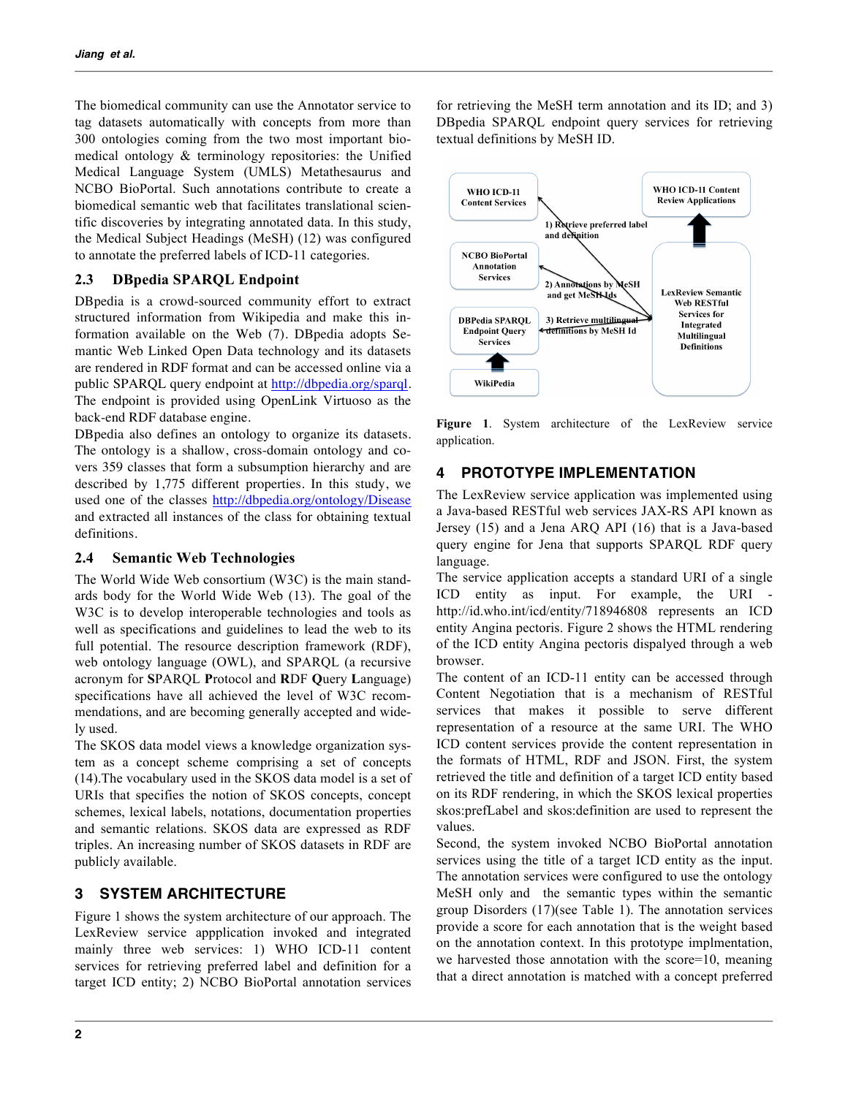The biomedical community can use the Annotator service to tag datasets automatically with concepts from more than 300 ontologies coming from the two most important biomedical ontology & terminology repositories: the Unified Medical Language System (UMLS) Metathesaurus and NCBO BioPortal. Such annotations contribute to create a biomedical semantic web that facilitates translational scientific discoveries by integrating annotated data. In this study, the Medical Subject Headings (MeSH) (12) was configured to annotate the preferred labels of ICD-11 categories.

## **2.3 DBpedia SPARQL Endpoint**

DBpedia is a crowd-sourced community effort to extract structured information from Wikipedia and make this information available on the Web (7). DBpedia adopts Semantic Web Linked Open Data technology and its datasets are rendered in RDF format and can be accessed online via a public SPARQL query endpoint at http://dbpedia.org/sparql. The endpoint is provided using OpenLink Virtuoso as the back-end RDF database engine.

DBpedia also defines an ontology to organize its datasets. The ontology is a shallow, cross-domain ontology and covers 359 classes that form a subsumption hierarchy and are described by 1,775 different properties. In this study, we used one of the classes http://dbpedia.org/ontology/Disease and extracted all instances of the class for obtaining textual definitions.

## **2.4 Semantic Web Technologies**

The World Wide Web consortium (W3C) is the main standards body for the World Wide Web (13). The goal of the W<sub>3</sub>C is to develop interoperable technologies and tools as well as specifications and guidelines to lead the web to its full potential. The resource description framework (RDF), web ontology language (OWL), and SPARQL (a recursive acronym for **S**PARQL **P**rotocol and **R**DF **Q**uery **L**anguage) specifications have all achieved the level of W3C recommendations, and are becoming generally accepted and widely used.

The SKOS data model views a knowledge organization system as a concept scheme comprising a set of concepts (14).The vocabulary used in the SKOS data model is a set of URIs that specifies the notion of SKOS concepts, concept schemes, lexical labels, notations, documentation properties and semantic relations. SKOS data are expressed as RDF triples. An increasing number of SKOS datasets in RDF are publicly available.

# **3 SYSTEM ARCHITECTURE**

Figure 1 shows the system architecture of our approach. The LexReview service appplication invoked and integrated mainly three web services: 1) WHO ICD-11 content services for retrieving preferred label and definition for a target ICD entity; 2) NCBO BioPortal annotation services for retrieving the MeSH term annotation and its ID; and 3) DBpedia SPARQL endpoint query services for retrieving textual definitions by MeSH ID.



Figure 1. System architecture of the LexReview service application.

# **4 PROTOTYPE IMPLEMENTATION**

The LexReview service application was implemented using a Java-based RESTful web services JAX-RS API known as Jersey (15) and a Jena ARQ API (16) that is a Java-based query engine for Jena that supports SPARQL RDF query language.

The service application accepts a standard URI of a single ICD entity as input. For example, the URI http://id.who.int/icd/entity/718946808 represents an ICD entity Angina pectoris. Figure 2 shows the HTML rendering of the ICD entity Angina pectoris dispalyed through a web browser.

The content of an ICD-11 entity can be accessed through Content Negotiation that is a mechanism of RESTful services that makes it possible to serve different representation of a resource at the same URI. The WHO ICD content services provide the content representation in the formats of HTML, RDF and JSON. First, the system retrieved the title and definition of a target ICD entity based on its RDF rendering, in which the SKOS lexical properties skos:prefLabel and skos:definition are used to represent the values.

Second, the system invoked NCBO BioPortal annotation services using the title of a target ICD entity as the input. The annotation services were configured to use the ontology MeSH only and the semantic types within the semantic group Disorders (17)(see Table 1). The annotation services provide a score for each annotation that is the weight based on the annotation context. In this prototype implmentation, we harvested those annotation with the score=10, meaning that a direct annotation is matched with a concept preferred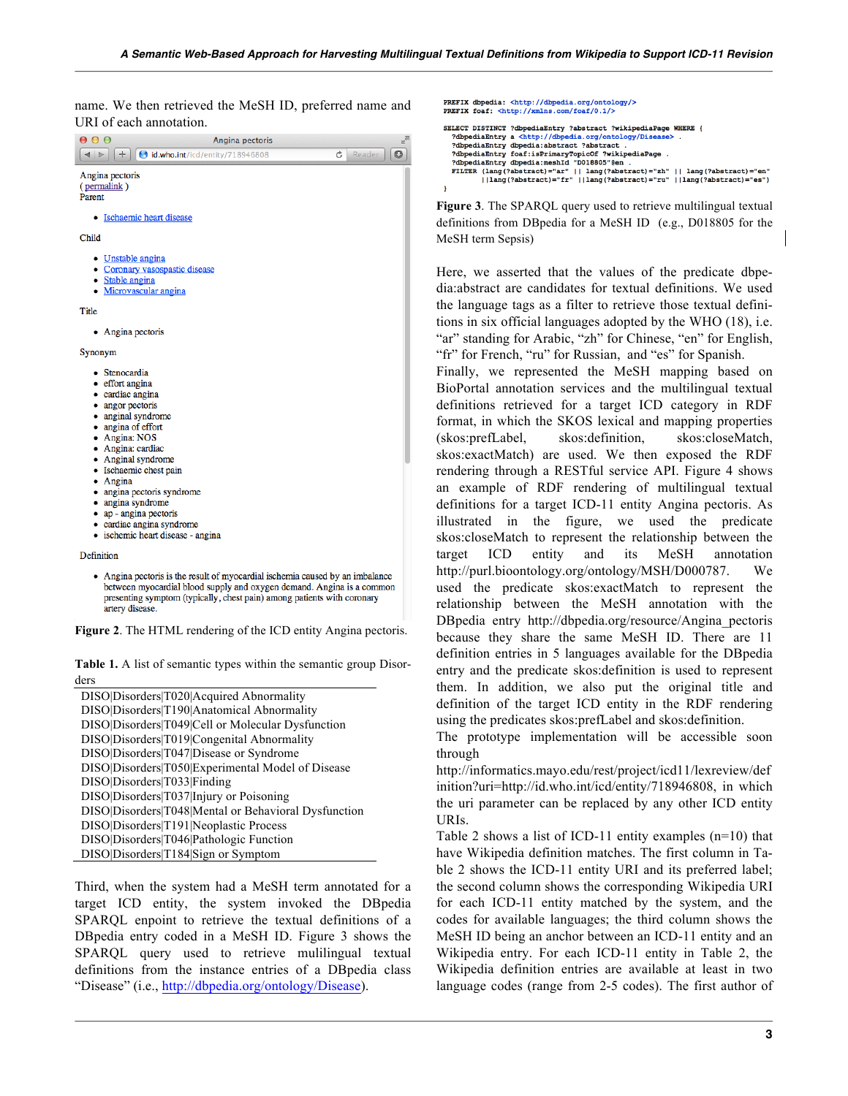name. We then retrieved the MeSH ID, preferred name and URI of each annotation.

| $\frac{1}{2}$<br>000<br>Angina pectoris                                                                                                                                                                                                                                                                                                                               |
|-----------------------------------------------------------------------------------------------------------------------------------------------------------------------------------------------------------------------------------------------------------------------------------------------------------------------------------------------------------------------|
| $\circ$<br>d.who.int/icd/entity/718946808<br>÷<br>Ċ<br>Reader<br>Þ                                                                                                                                                                                                                                                                                                    |
| Angina pectoris<br>(permalink)<br>Parent                                                                                                                                                                                                                                                                                                                              |
| Ischaemic heart disease<br>$\bullet$                                                                                                                                                                                                                                                                                                                                  |
| Child                                                                                                                                                                                                                                                                                                                                                                 |
| • Unstable angina<br>• Coronary vasospastic disease<br>• Stable angina<br>• Microvascular angina                                                                                                                                                                                                                                                                      |
| Title                                                                                                                                                                                                                                                                                                                                                                 |
| • Angina pectoris                                                                                                                                                                                                                                                                                                                                                     |
| Synonym                                                                                                                                                                                                                                                                                                                                                               |
| • Stenocardia<br>• effort angina<br>• cardiac angina<br>• angor pectoris<br>• anginal syndrome<br>• angina of effort<br>• Angina: NOS<br>• Angina: cardiac<br>• Anginal syndrome<br>• Ischaemic chest pain<br>• Angina<br>• angina pectoris syndrome<br>• angina syndrome<br>• ap - angina pectoris<br>• cardiac angina syndrome<br>• ischemic heart disease - angina |
| Definition                                                                                                                                                                                                                                                                                                                                                            |
| • Angina pectoris is the result of myocardial ischemia caused by an imbalance                                                                                                                                                                                                                                                                                         |

between myocardial blood supply and oxygen demand. Angina is a common presenting symptom (typically, chest pain) among patients with coronary artery disease.

**Figure 2**. The HTML rendering of the ICD entity Angina pectoris.

**Table 1.** A list of semantic types within the semantic group Disorders

| DISO Disorders T020 Acquired Abnormality             |
|------------------------------------------------------|
| DISO Disorders T190 Anatomical Abnormality           |
| DISO Disorders T049 Cell or Molecular Dysfunction    |
| DISO Disorders T019 Congenital Abnormality           |
| DISO Disorders T047 Disease or Syndrome              |
| DISO Disorders T050 Experimental Model of Disease    |
| DISO Disorders T033 Finding                          |
| DISO Disorders T037 Injury or Poisoning              |
| DISO Disorders T048 Mental or Behavioral Dysfunction |
| DISO Disorders T191 Neoplastic Process               |
| DISO Disorders T046 Pathologic Function              |
| DISO Disorders T184 Sign or Symptom                  |

Third, when the system had a MeSH term annotated for a target ICD entity, the system invoked the DBpedia SPARQL enpoint to retrieve the textual definitions of a DBpedia entry coded in a MeSH ID. Figure 3 shows the SPARQL query used to retrieve mulilingual textual definitions from the instance entries of a DBpedia class "Disease" (i.e., http://dbpedia.org/ontology/Disease).

```
PREFIX dbpedia: <http://dbpedia.org/o
                                                              tology/
PREFIX foaf: <http://xmlns.com/foaf/0.1/>
SELECT DISTINCT ?dbpediaEntry ?abstract ?wikipediaPage WHERE {
   ?dbpediaEntry a <http://dbpedia.org/ontology/Disease>
    PdbpediaEntry dbpedia:abstract ?abstract
   ?dbpediaEntry dbpedia:abstract ?abstract .<br>?dbpediaEntry foaf:isPrimaryTopicOf ?wikipediaPage<br>?dbpediaEntry dbpedia:meshId "DO18805"@en .<br>FILTER (lang(?abstract)="ar" || lang(?abstract)="zl
   FILTER (lang(?abstract)="ar" || lang(?abstract)="ar" || lang(?abstract)="en"<br>||Ilang(?abstract)="ar" || lang(?abstract)="ru" ||lang(?abstract)="es")
<sup>1</sup>
```
**Figure 3**. The SPARQL query used to retrieve multilingual textual definitions from DBpedia for a MeSH ID (e.g., D018805 for the MeSH term Sepsis)

Here, we asserted that the values of the predicate dbpedia:abstract are candidates for textual definitions. We used the language tags as a filter to retrieve those textual definitions in six official languages adopted by the WHO (18), i.e. "ar" standing for Arabic, "zh" for Chinese, "en" for English, "fr" for French, "ru" for Russian, and "es" for Spanish.

Finally, we represented the MeSH mapping based on BioPortal annotation services and the multilingual textual definitions retrieved for a target ICD category in RDF format, in which the SKOS lexical and mapping properties (skos:prefLabel, skos:definition, skos:closeMatch, skos:exactMatch) are used. We then exposed the RDF rendering through a RESTful service API. Figure 4 shows an example of RDF rendering of multilingual textual definitions for a target ICD-11 entity Angina pectoris. As illustrated in the figure, we used the predicate skos:closeMatch to represent the relationship between the target ICD entity and its MeSH annotation http://purl.bioontology.org/ontology/MSH/D000787. We used the predicate skos:exactMatch to represent the relationship between the MeSH annotation with the DBpedia entry http://dbpedia.org/resource/Angina\_pectoris because they share the same MeSH ID. There are 11 definition entries in 5 languages available for the DBpedia entry and the predicate skos:definition is used to represent them. In addition, we also put the original title and definition of the target ICD entity in the RDF rendering using the predicates skos:prefLabel and skos:definition.

The prototype implementation will be accessible soon through

http://informatics.mayo.edu/rest/project/icd11/lexreview/def inition?uri=http://id.who.int/icd/entity/718946808, in which the uri parameter can be replaced by any other ICD entity URIs.

Table 2 shows a list of ICD-11 entity examples (n=10) that have Wikipedia definition matches. The first column in Table 2 shows the ICD-11 entity URI and its preferred label; the second column shows the corresponding Wikipedia URI for each ICD-11 entity matched by the system, and the codes for available languages; the third column shows the MeSH ID being an anchor between an ICD-11 entity and an Wikipedia entry. For each ICD-11 entity in Table 2, the Wikipedia definition entries are available at least in two language codes (range from 2-5 codes). The first author of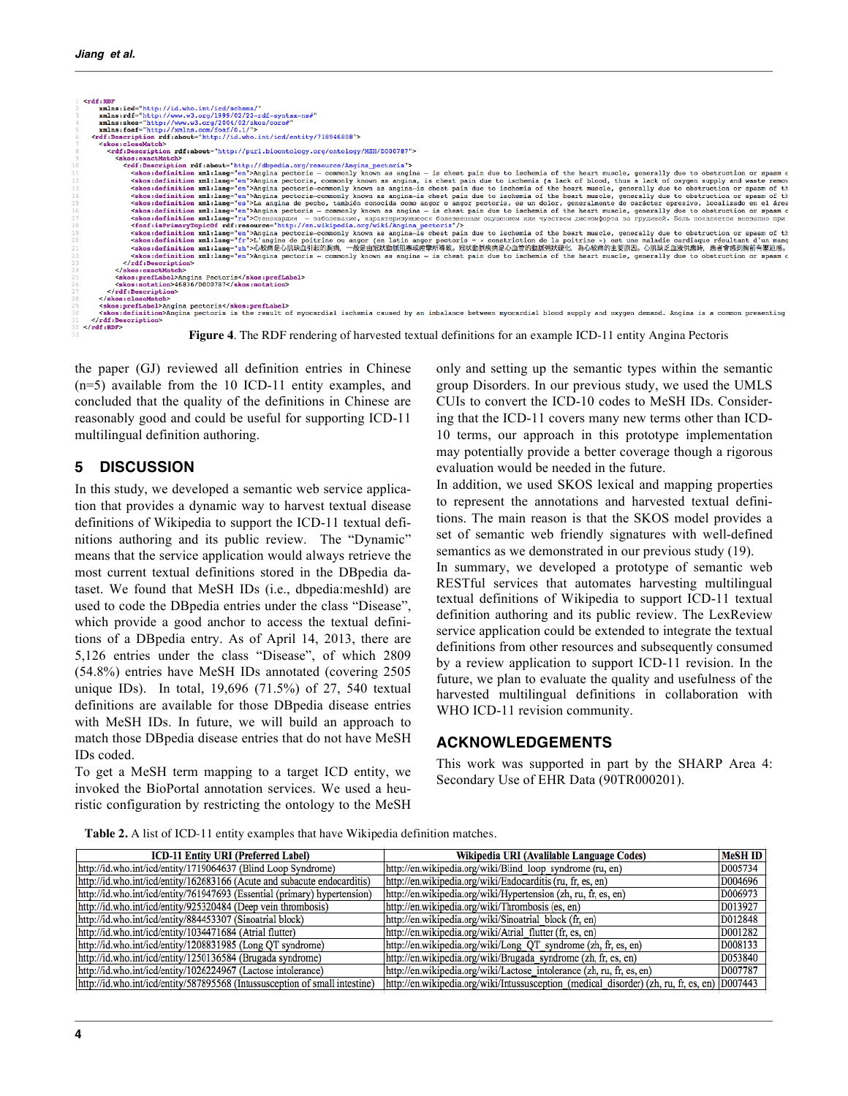

the paper (GJ) reviewed all definition entries in Chinese (n=5) available from the 10 ICD-11 entity examples, and concluded that the quality of the definitions in Chinese are reasonably good and could be useful for supporting ICD-11 multilingual definition authoring.

## **5 DISCUSSION**

In this study, we developed a semantic web service application that provides a dynamic way to harvest textual disease definitions of Wikipedia to support the ICD-11 textual definitions authoring and its public review. The "Dynamic" means that the service application would always retrieve the most current textual definitions stored in the DBpedia dataset. We found that MeSH IDs (i.e., dbpedia:meshId) are used to code the DBpedia entries under the class "Disease", which provide a good anchor to access the textual definitions of a DBpedia entry. As of April 14, 2013, there are 5,126 entries under the class "Disease", of which 2809 (54.8%) entries have MeSH IDs annotated (covering 2505 unique IDs). In total, 19,696 (71.5%) of 27, 540 textual definitions are available for those DBpedia disease entries with MeSH IDs. In future, we will build an approach to match those DBpedia disease entries that do not have MeSH IDs coded.

To get a MeSH term mapping to a target ICD entity, we invoked the BioPortal annotation services. We used a heuristic configuration by restricting the ontology to the MeSH only and setting up the semantic types within the semantic group Disorders. In our previous study, we used the UMLS CUIs to convert the ICD-10 codes to MeSH IDs. Considering that the ICD-11 covers many new terms other than ICD-10 terms, our approach in this prototype implementation may potentially provide a better coverage though a rigorous evaluation would be needed in the future.

In addition, we used SKOS lexical and mapping properties to represent the annotations and harvested textual definitions. The main reason is that the SKOS model provides a set of semantic web friendly signatures with well-defined semantics as we demonstrated in our previous study (19).

In summary, we developed a prototype of semantic web RESTful services that automates harvesting multilingual textual definitions of Wikipedia to support ICD-11 textual definition authoring and its public review. The LexReview service application could be extended to integrate the textual definitions from other resources and subsequently consumed by a review application to support ICD-11 revision. In the future, we plan to evaluate the quality and usefulness of the harvested multilingual definitions in collaboration with WHO ICD-11 revision community.

## **ACKNOWLEDGEMENTS**

This work was supported in part by the SHARP Area 4: Secondary Use of EHR Data (90TR000201).

**Table 2.** A list of ICD-11 entity examples that have Wikipedia definition matches.

| <b>ICD-11 Entity URI (Preferred Label)</b>                                  | Wikipedia URI (Avalilable Language Codes)                                                    | <b>MeSH ID</b> |
|-----------------------------------------------------------------------------|----------------------------------------------------------------------------------------------|----------------|
| http://id.who.int/icd/entity/1719064637 (Blind Loop Syndrome)               | http://en.wikipedia.org/wiki/Blind_loop_syndrome (ru, en)                                    | D005734        |
| http://id.who.int/icd/entity/162683166 (Acute and subacute endocarditis)    | http://en.wikipedia.org/wiki/Endocarditis (ru, fr, es, en)                                   | D004696        |
| http://id.who.int/icd/entity/761947693 (Essential (primary) hypertension)   | http://en.wikipedia.org/wiki/Hypertension (zh, ru, fr, es, en)                               | D006973        |
| http://id.who.int/icd/entity/925320484 (Deep vein thrombosis)               | http://en.wikipedia.org/wiki/Thrombosis (es, en)                                             | D013927        |
| http://id.who.int/icd/entity/884453307 (Sinoatrial block)                   | http://en.wikipedia.org/wiki/Sinoatrial block (fr, en)                                       | D012848        |
| http://id.who.int/icd/entity/1034471684 (Atrial flutter)                    | http://en.wikipedia.org/wiki/Atrial flutter (fr, es, en)                                     | D001282        |
| http://id.who.int/icd/entity/1208831985 (Long QT syndrome)                  | http://en.wikipedia.org/wiki/Long QT syndrome (zh, fr, es, en)                               | D008133        |
| http://id.who.int/icd/entity/1250136584 (Brugada syndrome)                  | http://en.wikipedia.org/wiki/Brugada_syndrome (zh, fr, es, en)                               | D053840        |
| http://id.who.int/icd/entity/1026224967 (Lactose intolerance)               | http://en.wikipedia.org/wiki/Lactose intolerance (zh, ru, fr, es, en)                        | D007787        |
| http://id.who.int/icd/entity/587895568 (Intussusception of small intestine) | http://en.wikipedia.org/wiki/Intussusception_(medical_disorder) (zh, ru, fr, es, en) D007443 |                |